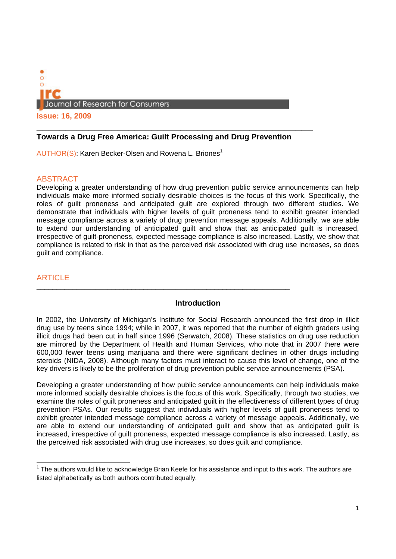

**Issue: 16, 2009**

## **Towards a Drug Free America: Guilt Processing and Drug Prevention**

 $\_$  ,  $\_$  ,  $\_$  ,  $\_$  ,  $\_$  ,  $\_$  ,  $\_$  ,  $\_$  ,  $\_$  ,  $\_$  ,  $\_$  ,  $\_$  ,  $\_$  ,  $\_$  ,  $\_$  ,  $\_$  ,  $\_$  ,  $\_$  ,  $\_$ 

AUTHOR(S): Karen Becker-Olsen and Rowena L. Briones<sup>1</sup>

### ABSTRACT

Developing a greater understanding of how drug prevention public service announcements can help individuals make more informed socially desirable choices is the focus of this work. Specifically, the roles of guilt proneness and anticipated guilt are explored through two different studies. We demonstrate that individuals with higher levels of guilt proneness tend to exhibit greater intended message compliance across a variety of drug prevention message appeals. Additionally, we are able to extend our understanding of anticipated guilt and show that as anticipated guilt is increased, irrespective of guilt-proneness, expected message compliance is also increased. Lastly, we show that compliance is related to risk in that as the perceived risk associated with drug use increases, so does guilt and compliance.

## **ARTICLE**

#### **Introduction**

In 2002, the University of Michigan's Institute for Social Research announced the first drop in illicit drug use by teens since 1994; while in 2007, it was reported that the number of eighth graders using illicit drugs had been cut in half since 1996 (Serwatch, 2008). These statistics on drug use reduction are mirrored by the Department of Health and Human Services, who note that in 2007 there were 600,000 fewer teens using marijuana and there were significant declines in other drugs including steroids (NIDA, 2008). Although many factors must interact to cause this level of change, one of the key drivers is likely to be the proliferation of drug prevention public service announcements (PSA).

Developing a greater understanding of how public service announcements can help individuals make more informed socially desirable choices is the focus of this work. Specifically, through two studies, we examine the roles of guilt proneness and anticipated guilt in the effectiveness of different types of drug prevention PSAs. Our results suggest that individuals with higher levels of guilt proneness tend to exhibit greater intended message compliance across a variety of message appeals. Additionally, we are able to extend our understanding of anticipated guilt and show that as anticipated guilt is increased, irrespective of guilt proneness, expected message compliance is also increased. Lastly, as the perceived risk associated with drug use increases, so does guilt and compliance.

 $1$  The authors would like to acknowledge Brian Keefe for his assistance and input to this work. The authors are listed alphabetically as both authors contributed equally.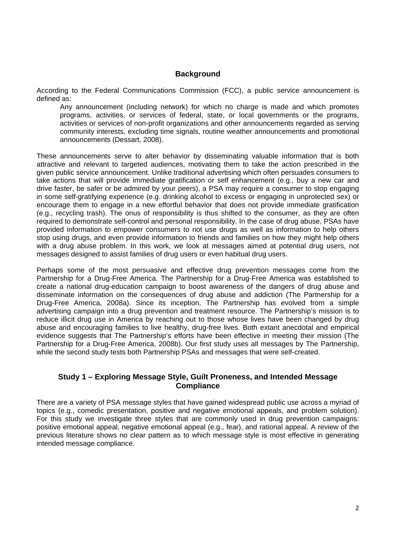## **Background**

According to the Federal Communications Commission (FCC), a public service announcement is defined as:

Any announcement (including network) for which no charge is made and which promotes programs, activities, or services of federal, state, or local governments or the programs, activities or services of non-profit organizations and other announcements regarded as serving community interests, excluding time signals, routine weather announcements and promotional announcements (Dessart, 2008).

These announcements serve to alter behavior by disseminating valuable information that is both attractive and relevant to targeted audiences, motivating them to take the action prescribed in the given public service announcement. Unlike traditional advertising which often persuades consumers to take actions that will provide immediate gratification or self enhancement (e.g., buy a new car and drive faster, be safer or be admired by your peers), a PSA may require a consumer to stop engaging in some self-gratifying experience (e.g. drinking alcohol to excess or engaging in unprotected sex) or encourage them to engage in a new effortful behavior that does not provide immediate gratification (e.g., recycling trash). The onus of responsibility is thus shifted to the consumer, as they are often required to demonstrate self-control and personal responsibility. In the case of drug abuse, PSAs have provided information to empower consumers to not use drugs as well as information to help others stop using drugs, and even provide information to friends and families on how they might help others with a drug abuse problem. In this work, we look at messages aimed at potential drug users, not messages designed to assist families of drug users or even habitual drug users.

Perhaps some of the most persuasive and effective drug prevention messages come from the Partnership for a Drug-Free America. The Partnership for a Drug-Free America was established to create a national drug-education campaign to boost awareness of the dangers of drug abuse and disseminate information on the consequences of drug abuse and addiction (The Partnership for a Drug-Free America, 2008a). Since its inception, The Partnership has evolved from a simple advertising campaign into a drug prevention and treatment resource. The Partnership's mission is to reduce illicit drug use in America by reaching out to those whose lives have been changed by drug abuse and encouraging families to live healthy, drug-free lives. Both extant anecdotal and empirical evidence suggests that The Partnership's efforts have been effective in meeting their mission (The Partnership for a Drug-Free America, 2008b). Our first study uses all messages by The Partnership, while the second study tests both Partnership PSAs and messages that were self-created.

## **Study 1 – Exploring Message Style, Guilt Proneness, and Intended Message Compliance**

There are a variety of PSA message styles that have gained widespread public use across a myriad of topics (e.g., comedic presentation, positive and negative emotional appeals, and problem solution). For this study we investigate three styles that are commonly used in drug prevention campaigns: positive emotional appeal, negative emotional appeal (e.g., fear), and rational appeal. A review of the previous literature shows no clear pattern as to which message style is most effective in generating intended message compliance.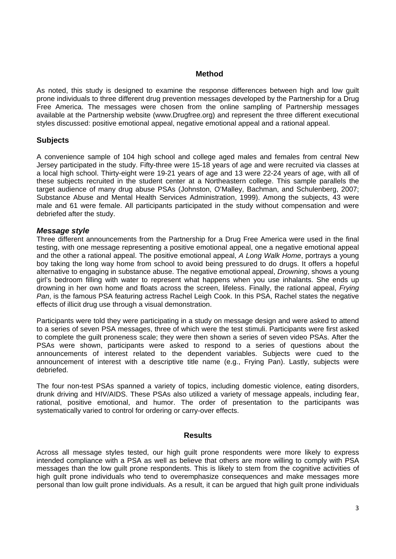### **Method**

As noted, this study is designed to examine the response differences between high and low guilt prone individuals to three different drug prevention messages developed by the Partnership for a Drug Free America. The messages were chosen from the online sampling of Partnership messages available at the Partnership website (www.Drugfree.org) and represent the three different executional styles discussed: positive emotional appeal, negative emotional appeal and a rational appeal.

## **Subjects**

A convenience sample of 104 high school and college aged males and females from central New Jersey participated in the study. Fifty-three were 15-18 years of age and were recruited via classes at a local high school. Thirty-eight were 19-21 years of age and 13 were 22-24 years of age, with all of these subjects recruited in the student center at a Northeastern college. This sample parallels the target audience of many drug abuse PSAs (Johnston, O'Malley, Bachman, and Schulenberg, 2007; Substance Abuse and Mental Health Services Administration, 1999). Among the subjects, 43 were male and 61 were female. All participants participated in the study without compensation and were debriefed after the study.

### *Message style*

Three different announcements from the Partnership for a Drug Free America were used in the final testing, with one message representing a positive emotional appeal, one a negative emotional appeal and the other a rational appeal. The positive emotional appeal, *A Long Walk Home*, portrays a young boy taking the long way home from school to avoid being pressured to do drugs. It offers a hopeful alternative to engaging in substance abuse. The negative emotional appeal, *Drowning*, shows a young girl's bedroom filling with water to represent what happens when you use inhalants. She ends up drowning in her own home and floats across the screen, lifeless. Finally, the rational appeal, *Frying Pan*, is the famous PSA featuring actress Rachel Leigh Cook. In this PSA, Rachel states the negative effects of illicit drug use through a visual demonstration.

Participants were told they were participating in a study on message design and were asked to attend to a series of seven PSA messages, three of which were the test stimuli. Participants were first asked to complete the guilt proneness scale; they were then shown a series of seven video PSAs. After the PSAs were shown, participants were asked to respond to a series of questions about the announcements of interest related to the dependent variables. Subjects were cued to the announcement of interest with a descriptive title name (e.g., Frying Pan). Lastly, subjects were debriefed.

The four non-test PSAs spanned a variety of topics, including domestic violence, eating disorders, drunk driving and HIV/AIDS. These PSAs also utilized a variety of message appeals, including fear, rational, positive emotional, and humor. The order of presentation to the participants was systematically varied to control for ordering or carry-over effects.

#### **Results**

Across all message styles tested, our high guilt prone respondents were more likely to express intended compliance with a PSA as well as believe that others are more willing to comply with PSA messages than the low guilt prone respondents. This is likely to stem from the cognitive activities of high guilt prone individuals who tend to overemphasize consequences and make messages more personal than low guilt prone individuals. As a result, it can be argued that high guilt prone individuals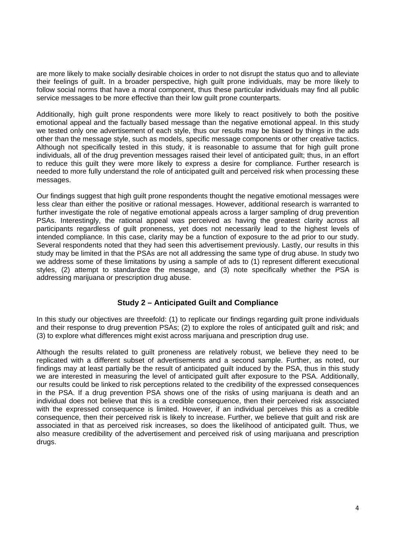are more likely to make socially desirable choices in order to not disrupt the status quo and to alleviate their feelings of guilt. In a broader perspective, high guilt prone individuals, may be more likely to follow social norms that have a moral component, thus these particular individuals may find all public service messages to be more effective than their low guilt prone counterparts.

Additionally, high guilt prone respondents were more likely to react positively to both the positive emotional appeal and the factually based message than the negative emotional appeal. In this study we tested only one advertisement of each style, thus our results may be biased by things in the ads other than the message style, such as models, specific message components or other creative tactics. Although not specifically tested in this study, it is reasonable to assume that for high guilt prone individuals, all of the drug prevention messages raised their level of anticipated guilt; thus, in an effort to reduce this guilt they were more likely to express a desire for compliance. Further research is needed to more fully understand the role of anticipated guilt and perceived risk when processing these messages.

Our findings suggest that high guilt prone respondents thought the negative emotional messages were less clear than either the positive or rational messages. However, additional research is warranted to further investigate the role of negative emotional appeals across a larger sampling of drug prevention PSAs. Interestingly, the rational appeal was perceived as having the greatest clarity across all participants regardless of guilt proneness, yet does not necessarily lead to the highest levels of intended compliance. In this case, clarity may be a function of exposure to the ad prior to our study. Several respondents noted that they had seen this advertisement previously. Lastly, our results in this study may be limited in that the PSAs are not all addressing the same type of drug abuse. In study two we address some of these limitations by using a sample of ads to (1) represent different executional styles, (2) attempt to standardize the message, and (3) note specifically whether the PSA is addressing marijuana or prescription drug abuse.

# **Study 2 – Anticipated Guilt and Compliance**

In this study our objectives are threefold: (1) to replicate our findings regarding guilt prone individuals and their response to drug prevention PSAs; (2) to explore the roles of anticipated guilt and risk; and (3) to explore what differences might exist across marijuana and prescription drug use.

Although the results related to guilt proneness are relatively robust, we believe they need to be replicated with a different subset of advertisements and a second sample. Further, as noted, our findings may at least partially be the result of anticipated guilt induced by the PSA, thus in this study we are interested in measuring the level of anticipated guilt after exposure to the PSA. Additionally, our results could be linked to risk perceptions related to the credibility of the expressed consequences in the PSA. If a drug prevention PSA shows one of the risks of using marijuana is death and an individual does not believe that this is a credible consequence, then their perceived risk associated with the expressed consequence is limited. However, if an individual perceives this as a credible consequence, then their perceived risk is likely to increase. Further, we believe that guilt and risk are associated in that as perceived risk increases, so does the likelihood of anticipated guilt. Thus, we also measure credibility of the advertisement and perceived risk of using marijuana and prescription drugs.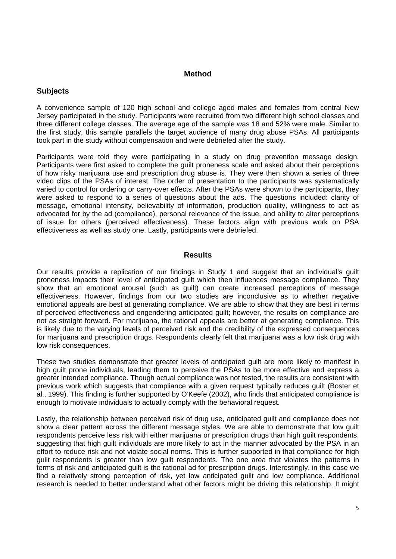#### **Method**

### **Subjects**

A convenience sample of 120 high school and college aged males and females from central New Jersey participated in the study. Participants were recruited from two different high school classes and three different college classes. The average age of the sample was 18 and 52% were male. Similar to the first study, this sample parallels the target audience of many drug abuse PSAs. All participants took part in the study without compensation and were debriefed after the study.

Participants were told they were participating in a study on drug prevention message design. Participants were first asked to complete the guilt proneness scale and asked about their perceptions of how risky marijuana use and prescription drug abuse is. They were then shown a series of three video clips of the PSAs of interest. The order of presentation to the participants was systematically varied to control for ordering or carry-over effects. After the PSAs were shown to the participants, they were asked to respond to a series of questions about the ads. The questions included: clarity of message, emotional intensity, believability of information, production quality, willingness to act as advocated for by the ad (compliance), personal relevance of the issue, and ability to alter perceptions of issue for others (perceived effectiveness). These factors align with previous work on PSA effectiveness as well as study one. Lastly, participants were debriefed.

#### **Results**

Our results provide a replication of our findings in Study 1 and suggest that an individual's guilt proneness impacts their level of anticipated guilt which then influences message compliance. They show that an emotional arousal (such as guilt) can create increased perceptions of message effectiveness. However, findings from our two studies are inconclusive as to whether negative emotional appeals are best at generating compliance. We are able to show that they are best in terms of perceived effectiveness and engendering anticipated guilt; however, the results on compliance are not as straight forward. For marijuana, the rational appeals are better at generating compliance. This is likely due to the varying levels of perceived risk and the credibility of the expressed consequences for marijuana and prescription drugs. Respondents clearly felt that marijuana was a low risk drug with low risk consequences.

These two studies demonstrate that greater levels of anticipated guilt are more likely to manifest in high guilt prone individuals, leading them to perceive the PSAs to be more effective and express a greater intended compliance. Though actual compliance was not tested, the results are consistent with previous work which suggests that compliance with a given request typically reduces guilt (Boster et al., 1999). This finding is further supported by O'Keefe (2002), who finds that anticipated compliance is enough to motivate individuals to actually comply with the behavioral request.

Lastly, the relationship between perceived risk of drug use, anticipated guilt and compliance does not show a clear pattern across the different message styles. We are able to demonstrate that low guilt respondents perceive less risk with either marijuana or prescription drugs than high guilt respondents, suggesting that high guilt individuals are more likely to act in the manner advocated by the PSA in an effort to reduce risk and not violate social norms. This is further supported in that compliance for high guilt respondents is greater than low guilt respondents. The one area that violates the patterns in terms of risk and anticipated guilt is the rational ad for prescription drugs. Interestingly, in this case we find a relatively strong perception of risk, yet low anticipated guilt and low compliance. Additional research is needed to better understand what other factors might be driving this relationship. It might